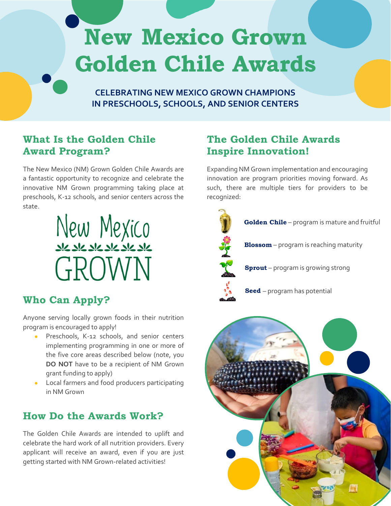# **New Mexico Grown Golden Chile Awards**

**CELEBRATING NEW MEXICO GROWN CHAMPIONS IN PRESCHOOLS, SCHOOLS, AND SENIOR CENTERS**

# **What Is the Golden Chile Award Program?**

The New Mexico (NM) Grown Golden Chile Awards are a fantastic opportunity to recognize and celebrate the innovative NM Grown programming taking place at preschools, K-12 schools, and senior centers across the state.



## **Who Can Apply?**

Anyone serving locally grown foods in their nutrition program is encouraged to apply!

- Preschools, K-12 schools, and senior centers implementing programming in one or more of the five core areas described below (note, you **DO NOT** have to be a recipient of NM Grown grant funding to apply)
- Local farmers and food producers participating in NM Grown

# **How Do the Awards Work?**

The Golden Chile Awards are intended to uplift and celebrate the hard work of all nutrition providers. Every applicant will receive an award, even if you are just getting started with NM Grown-related activities!

# **The Golden Chile Awards Inspire Innovation!**

Expanding NM Grown implementation and encouraging innovation are program priorities moving forward. As such, there are multiple tiers for providers to be recognized: